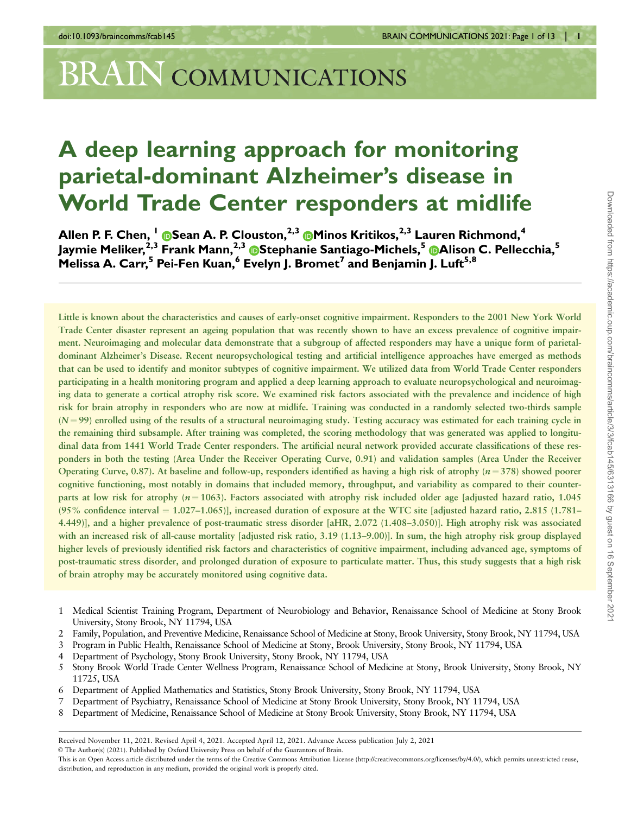# BRAIN COMMUNICATIONS

# A deep learning approach for monitoring parietal-dominant Alzheimer's disease in World Trade Center responders at midlife

Allen P. F. Chen, <sup>I</sup> ®[S](https://orcid.org/0000-0002-6124-0329)ean A. P. Clouston,<sup>2,3</sup> ®[M](https://orcid.org/0000-0003-2710-0717)inos Kritikos,<sup>2,3</sup> Lauren Richmond,<sup>4</sup> Jaymie Meliker,<sup>2,3</sup> Frank Mann,<sup>2,3</sup> ®Stephanie Santiago-Michels,<sup>5</sup> ®Alison C. Pellecchia,<sup>5</sup> Melissa A. Carr,<sup>5</sup> Pei-Fen Kuan,<sup>6</sup> Evelyn J. Bromet<sup>7</sup> and Benjamin J. Luft<sup>5,8</sup>

Little is known about the characteristics and causes of early-onset cognitive impairment. Responders to the 2001 New York World Trade Center disaster represent an ageing population that was recently shown to have an excess prevalence of cognitive impairment. Neuroimaging and molecular data demonstrate that a subgroup of affected responders may have a unique form of parietaldominant Alzheimer's Disease. Recent neuropsychological testing and artificial intelligence approaches have emerged as methods that can be used to identify and monitor subtypes of cognitive impairment. We utilized data from World Trade Center responders participating in a health monitoring program and applied a deep learning approach to evaluate neuropsychological and neuroimaging data to generate a cortical atrophy risk score. We examined risk factors associated with the prevalence and incidence of high risk for brain atrophy in responders who are now at midlife. Training was conducted in a randomly selected two-thirds sample  $(N = 99)$  enrolled using of the results of a structural neuroimaging study. Testing accuracy was estimated for each training cycle in the remaining third subsample. After training was completed, the scoring methodology that was generated was applied to longitudinal data from 1441 World Trade Center responders. The artificial neural network provided accurate classifications of these responders in both the testing (Area Under the Receiver Operating Curve, 0.91) and validation samples (Area Under the Receiver Operating Curve, 0.87). At baseline and follow-up, responders identified as having a high risk of atrophy  $(n=378)$  showed poorer cognitive functioning, most notably in domains that included memory, throughput, and variability as compared to their counterparts at low risk for atrophy  $(n = 1063)$ . Factors associated with atrophy risk included older age [adjusted hazard ratio, 1.045] (95% confidence interval  $= 1.027-1.065$ )], increased duration of exposure at the WTC site [adjusted hazard ratio, 2.815 (1.781– 4.449)], and a higher prevalence of post-traumatic stress disorder [aHR, 2.072 (1.408–3.050)]. High atrophy risk was associated with an increased risk of all-cause mortality [adjusted risk ratio, 3.19 (1.13–9.00)]. In sum, the high atrophy risk group displayed higher levels of previously identified risk factors and characteristics of cognitive impairment, including advanced age, symptoms of post-traumatic stress disorder, and prolonged duration of exposure to particulate matter. Thus, this study suggests that a high risk of brain atrophy may be accurately monitored using cognitive data.

- 1 Medical Scientist Training Program, Department of Neurobiology and Behavior, Renaissance School of Medicine at Stony Brook University, Stony Brook, NY 11794, USA
- 2 Family, Population, and Preventive Medicine, Renaissance School of Medicine at Stony, Brook University, Stony Brook, NY 11794, USA
- 3 Program in Public Health, Renaissance School of Medicine at Stony, Brook University, Stony Brook, NY 11794, USA
- 4 Department of Psychology, Stony Brook University, Stony Brook, NY 11794, USA
- 5 Stony Brook World Trade Center Wellness Program, Renaissance School of Medicine at Stony, Brook University, Stony Brook, NY 11725, USA
- 6 Department of Applied Mathematics and Statistics, Stony Brook University, Stony Brook, NY 11794, USA
- 7 Department of Psychiatry, Renaissance School of Medicine at Stony Brook University, Stony Brook, NY 11794, USA
- 8 Department of Medicine, Renaissance School of Medicine at Stony Brook University, Stony Brook, NY 11794, USA

Received November 11, 2021. Revised April 4, 2021. Accepted April 12, 2021. Advance Access publication July 2, 2021

V<sup>C</sup> The Author(s) (2021). Published by Oxford University Press on behalf of the Guarantors of Brain.

This is an Open Access article distributed under the terms of the Creative Commons Attribution License (http://creativecommons.org/licenses/by/4.0/), which permits unrestricted reuse, distribution, and reproduction in any medium, provided the original work is properly cited.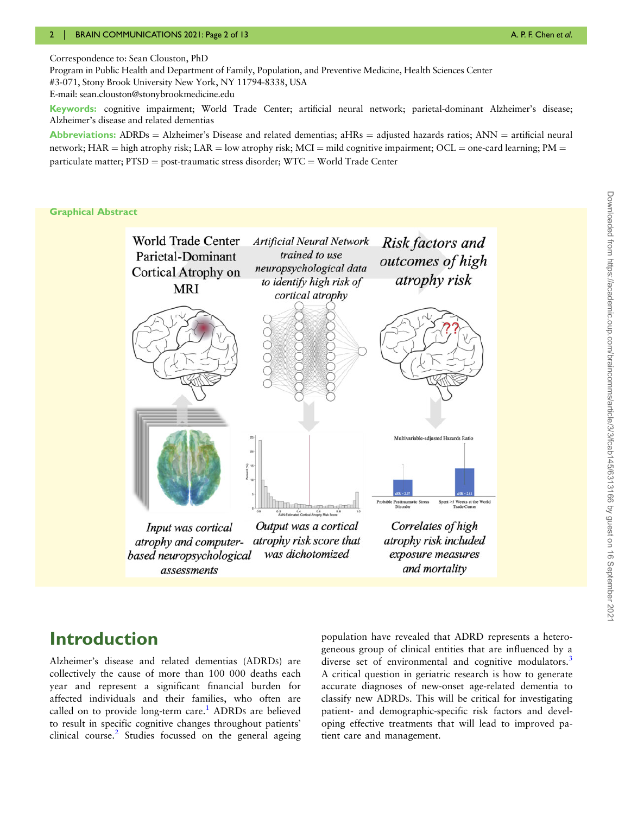<span id="page-1-0"></span>Correspondence to: Sean Clouston, PhD

Program in Public Health and Department of Family, Population, and Preventive Medicine, Health Sciences Center #3-071, Stony Brook University New York, NY 11794-8338, USA E-mail: sean.clouston@stonybrookmedicine.edu

Keywords: cognitive impairment; World Trade Center; artificial neural network; parietal-dominant Alzheimer's disease; Alzheimer's disease and related dementias

Abbreviations: ADRDs = Alzheimer's Disease and related dementias;  $aHRs =$  adjusted hazards ratios;  $ANN =$  artificial neural network; HAR = high atrophy risk; LAR = low atrophy risk; MCI = mild cognitive impairment; OCL = one-card learning; PM = particulate matter;  $PTSD = post-traumatic stress disorder$ ;  $WTC = World Trade Center$ 

#### Graphical Abstract



# Downloaded from https://academic.oup.com/braincomms/article/3/3/fcab145/6313166 by guest on 16 September 202 Downloaded from https://academic.oup.com/braincomms/article/3/3/fcab145/6313166 by guest on 16 September 2021

# Introduction

Alzheimer's disease and related dementias (ADRDS) are collectively the cause of more than 100 000 deaths each year and represent a significant financial burden for affected individuals and their families, who often are called on to provide long-term care.<sup>[1](#page-10-0)</sup> ADRDs are believed to result in specific cognitive changes throughout patients' clinical course.<sup>2</sup> Studies focussed on the general ageing population have revealed that ADRD represents a heterogeneous group of clinical entities that are influenced by a diverse set of environmental and cognitive modulators.<sup>[3](#page-10-0)</sup> A critical question in geriatric research is how to generate accurate diagnoses of new-onset age-related dementia to classify new ADRDS. This will be critical for investigating patient- and demographic-specific risk factors and developing effective treatments that will lead to improved patient care and management.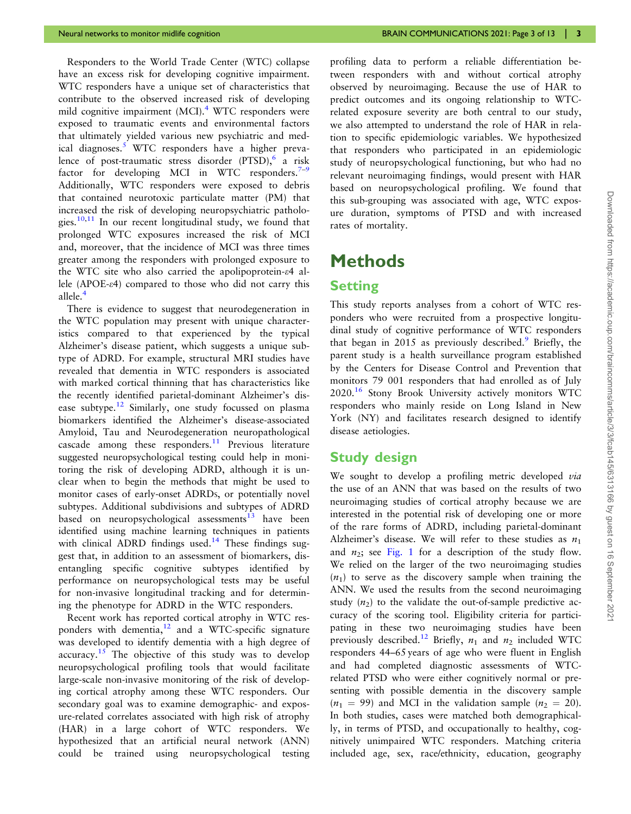<span id="page-2-0"></span>Responders to the World Trade Center (WTC) collapse have an excess risk for developing cognitive impairment. WTC responders have a unique set of characteristics that contribute to the observed increased risk of developing mild cognitive impairment (MCI).<sup>[4](#page-10-0)</sup> WTC responders were exposed to traumatic events and environmental factors that ultimately yielded various new psychiatric and med-ical diagnoses.<sup>[5](#page-10-0)</sup> WTC responders have a higher prevalence of post-traumatic stress disorder (PTSD),  $\delta$  a risk factor for developing MCI in WTC responders.<sup>[7](#page-11-0)–[9](#page-11-0)</sup> Additionally, WTC responders were exposed to debris that contained neurotoxic particulate matter (PM) that increased the risk of developing neuropsychiatric patholo-gies.<sup>[10,11](#page-11-0)</sup> In our recent longitudinal study, we found that prolonged WTC exposures increased the risk of MCI and, moreover, that the incidence of MCI was three times greater among the responders with prolonged exposure to the WTC site who also carried the apolipoprotein- $\epsilon$ 4 allele (APOE-e4) compared to those who did not carry this allele.<sup>[4](#page-10-0)</sup>

There is evidence to suggest that neurodegeneration in the WTC population may present with unique characteristics compared to that experienced by the typical Alzheimer's disease patient, which suggests a unique subtype of ADRD. For example, structural MRI studies have revealed that dementia in WTC responders is associated with marked cortical thinning that has characteristics like the recently identified parietal-dominant Alzheimer's dis-ease subtype.<sup>[12](#page-11-0)</sup> Similarly, one study focussed on plasma biomarkers identified the Alzheimer's disease-associated Amyloid, Tau and Neurodegeneration neuropathological cascade among these responders.<sup>[11](#page-11-0)</sup> Previous literature suggested neuropsychological testing could help in monitoring the risk of developing ADRD, although it is unclear when to begin the methods that might be used to monitor cases of early-onset ADRDS, or potentially novel subtypes. Additional subdivisions and subtypes of ADRD based on neuropsychological assessments $13$  have been identified using machine learning techniques in patients with clinical ADRD findings used.<sup>14</sup> These findings suggest that, in addition to an assessment of biomarkers, disentangling specific cognitive subtypes identified by performance on neuropsychological tests may be useful for non-invasive longitudinal tracking and for determining the phenotype for ADRD in the WTC responders.

Recent work has reported cortical atrophy in WTC responders with dementia, $12$  and a WTC-specific signature was developed to identify dementia with a high degree of accuracy.<sup>[15](#page-11-0)</sup> The objective of this study was to develop neuropsychological profiling tools that would facilitate large-scale non-invasive monitoring of the risk of developing cortical atrophy among these WTC responders. Our secondary goal was to examine demographic- and exposure-related correlates associated with high risk of atrophy (HAR) in a large cohort of WTC responders. We hypothesized that an artificial neural network (ANN) could be trained using neuropsychological testing profiling data to perform a reliable differentiation between responders with and without cortical atrophy observed by neuroimaging. Because the use of HAR to predict outcomes and its ongoing relationship to WTCrelated exposure severity are both central to our study, we also attempted to understand the role of HAR in relation to specific epidemiologic variables. We hypothesized that responders who participated in an epidemiologic study of neuropsychological functioning, but who had no relevant neuroimaging findings, would present with HAR based on neuropsychological profiling. We found that this sub-grouping was associated with age, WTC exposure duration, symptoms of PTSD and with increased rates of mortality.

# Methods

#### **Setting**

This study reports analyses from a cohort of WTC responders who were recruited from a prospective longitudinal study of cognitive performance of WTC responders that began in 2015 as previously described.<sup>[9](#page-11-0)</sup> Briefly, the parent study is a health surveillance program established by the Centers for Disease Control and Prevention that monitors 79 001 responders that had enrolled as of July 2020.[16](#page-11-0) Stony Brook University actively monitors WTC responders who mainly reside on Long Island in New York (NY) and facilitates research designed to identify disease aetiologies.

#### Study design

We sought to develop a profiling metric developed via the use of an ANN that was based on the results of two neuroimaging studies of cortical atrophy because we are interested in the potential risk of developing one or more of the rare forms of ADRD, including parietal-dominant Alzheimer's disease. We will refer to these studies as  $n_1$ and  $n_2$ ; see [Fig. 1](#page-3-0) for a description of the study flow. We relied on the larger of the two neuroimaging studies  $(n_1)$  to serve as the discovery sample when training the ANN. We used the results from the second neuroimaging study  $(n_2)$  to the validate the out-of-sample predictive accuracy of the scoring tool. Eligibility criteria for participating in these two neuroimaging studies have been previously described.<sup>[12](#page-11-0)</sup> Briefly,  $n_1$  and  $n_2$  included WTC responders 44–65 years of age who were fluent in English and had completed diagnostic assessments of WTCrelated PTSD who were either cognitively normal or presenting with possible dementia in the discovery sample  $(n_1 = 99)$  and MCI in the validation sample  $(n_2 = 20)$ . In both studies, cases were matched both demographically, in terms of PTSD, and occupationally to healthy, cognitively unimpaired WTC responders. Matching criteria included age, sex, race/ethnicity, education, geography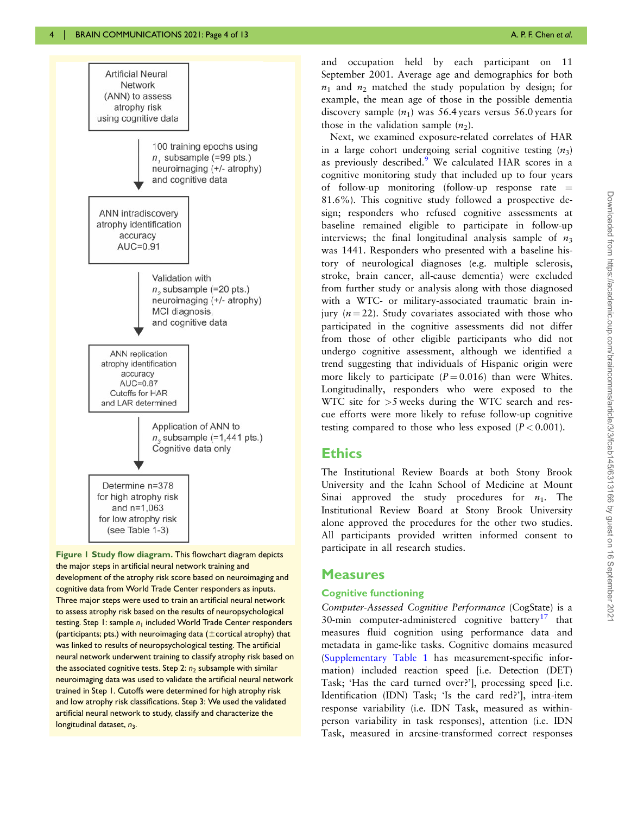<span id="page-3-0"></span>

Figure 1 Study flow diagram. This flowchart diagram depicts the major steps in artificial neural network training and development of the atrophy risk score based on neuroimaging and cognitive data from World Trade Center responders as inputs. Three major steps were used to train an artificial neural network to assess atrophy risk based on the results of neuropsychological testing. Step 1: sample  $n_1$  included World Trade Center responders (participants; pts.) with neuroimaging data ( $\pm$  cortical atrophy) that was linked to results of neuropsychological testing. The artificial neural network underwent training to classify atrophy risk based on the associated cognitive tests. Step 2:  $n_2$  subsample with similar neuroimaging data was used to validate the artificial neural network trained in Step 1. Cutoffs were determined for high atrophy risk and low atrophy risk classifications. Step 3: We used the validated artificial neural network to study, classify and characterize the longitudinal dataset,  $n_3$ .

and occupation held by each participant on 11 September 2001. Average age and demographics for both  $n_1$  and  $n_2$  matched the study population by design; for example, the mean age of those in the possible dementia discovery sample  $(n_1)$  was 56.4 years versus 56.0 years for those in the validation sample  $(n_2)$ .

Next, we examined exposure-related correlates of HAR in a large cohort undergoing serial cognitive testing  $(n_3)$ as previously described.<sup>[9](#page-11-0)</sup> We calculated HAR scores in a cognitive monitoring study that included up to four years of follow-up monitoring (follow-up response rate  $=$ 81.6%). This cognitive study followed a prospective design; responders who refused cognitive assessments at baseline remained eligible to participate in follow-up interviews; the final longitudinal analysis sample of  $n_3$ was 1441. Responders who presented with a baseline history of neurological diagnoses (e.g. multiple sclerosis, stroke, brain cancer, all-cause dementia) were excluded from further study or analysis along with those diagnosed with a WTC- or military-associated traumatic brain injury  $(n = 22)$ . Study covariates associated with those who participated in the cognitive assessments did not differ from those of other eligible participants who did not undergo cognitive assessment, although we identified a trend suggesting that individuals of Hispanic origin were more likely to participate  $(P = 0.016)$  than were Whites. Longitudinally, responders who were exposed to the WTC site for  $>5$  weeks during the WTC search and rescue efforts were more likely to refuse follow-up cognitive testing compared to those who less exposed  $(P < 0.001)$ .

#### **Ethics**

The Institutional Review Boards at both Stony Brook University and the Icahn School of Medicine at Mount Sinai approved the study procedures for  $n_1$ . The Institutional Review Board at Stony Brook University alone approved the procedures for the other two studies. All participants provided written informed consent to participate in all research studies.

#### Measures

#### Cognitive functioning

Computer-Assessed Cognitive Performance (CogState) is a 30-min computer-administered cognitive battery<sup>[17](#page-11-0)</sup> that measures fluid cognition using performance data and metadata in game-like tasks. Cognitive domains measured [\(Supplementary Table 1](https://academic.oup.com/braincomms/article-lookup/doi/10.1093/braincomms/fcab145#supplementary-data) has measurement-specific information) included reaction speed [i.e. Detection (DET) Task; 'Has the card turned over?'], processing speed [i.e. Identification (IDN) Task; 'Is the card red?'], intra-item response variability (i.e. IDN Task, measured as withinperson variability in task responses), attention (i.e. IDN Task, measured in arcsine-transformed correct responses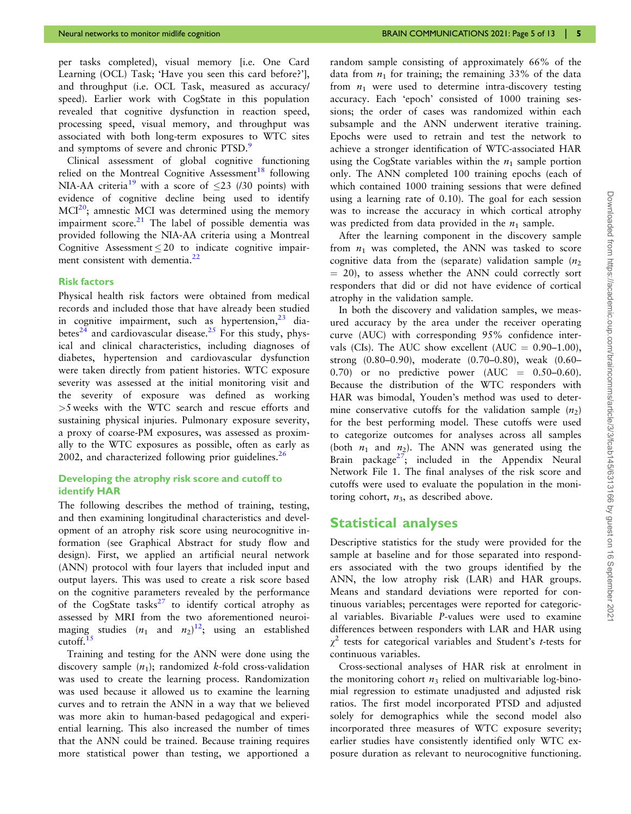<span id="page-4-0"></span>per tasks completed), visual memory [i.e. One Card Learning (OCL) Task; 'Have you seen this card before?'], and throughput (i.e. OCL Task, measured as accuracy/ speed). Earlier work with CogState in this population revealed that cognitive dysfunction in reaction speed, processing speed, visual memory, and throughput was associated with both long-term exposures to WTC sites and symptoms of severe and chronic PTSD.<sup>[9](#page-11-0)</sup>

Clinical assessment of global cognitive functioning relied on the Montreal Cognitive Assessment<sup>[18](#page-11-0)</sup> following NIA-AA criteria<sup>[19](#page-11-0)</sup> with a score of  $\leq$ 23 (/30 points) with evidence of cognitive decline being used to identify  $MCI<sup>20</sup>$ ; amnestic MCI was determined using the memory impairment score. $21$  The label of possible dementia was provided following the NIA-AA criteria using a Montreal Cognitive Assessment  $\leq 20$  to indicate cognitive impairment consistent with dementia.<sup>22</sup>

#### Risk factors

Physical health risk factors were obtained from medical records and included those that have already been studied in cognitive impairment, such as hypertension,  $2^3$  dia-betes<sup>[24](#page-11-0)</sup> and cardiovascular disease.<sup>[25](#page-11-0)</sup> For this study, physical and clinical characteristics, including diagnoses of diabetes, hypertension and cardiovascular dysfunction were taken directly from patient histories. WTC exposure severity was assessed at the initial monitoring visit and the severity of exposure was defined as working >5 weeks with the WTC search and rescue efforts and sustaining physical injuries. Pulmonary exposure severity, a proxy of coarse-PM exposures, was assessed as proximally to the WTC exposures as possible, often as early as 2002, and characterized following prior guidelines.<sup>[26](#page-11-0)</sup>

#### Developing the atrophy risk score and cutoff to identify HAR

The following describes the method of training, testing, and then examining longitudinal characteristics and development of an atrophy risk score using neurocognitive information (see Graphical Abstract for study flow and design). First, we applied an artificial neural network (ANN) protocol with four layers that included input and output layers. This was used to create a risk score based on the cognitive parameters revealed by the performance of the CogState tasks<sup>[27](#page-11-0)</sup> to identify cortical atrophy as assessed by MRI from the two aforementioned neuroimaging studies  $(n_1 \text{ and } n_2)^{12}$  $(n_1 \text{ and } n_2)^{12}$  $(n_1 \text{ and } n_2)^{12}$ ; using an established cutoff. $15$ 

Training and testing for the ANN were done using the discovery sample  $(n_1)$ ; randomized k-fold cross-validation was used to create the learning process. Randomization was used because it allowed us to examine the learning curves and to retrain the ANN in a way that we believed was more akin to human-based pedagogical and experiential learning. This also increased the number of times that the ANN could be trained. Because training requires more statistical power than testing, we apportioned a random sample consisting of approximately 66% of the data from  $n_1$  for training; the remaining 33% of the data from  $n_1$  were used to determine intra-discovery testing accuracy. Each 'epoch' consisted of 1000 training sessions; the order of cases was randomized within each subsample and the ANN underwent iterative training. Epochs were used to retrain and test the network to achieve a stronger identification of WTC-associated HAR using the CogState variables within the  $n_1$  sample portion only. The ANN completed 100 training epochs (each of which contained 1000 training sessions that were defined using a learning rate of 0.10). The goal for each session was to increase the accuracy in which cortical atrophy was predicted from data provided in the  $n_1$  sample.

After the learning component in the discovery sample from  $n_1$  was completed, the ANN was tasked to score cognitive data from the (separate) validation sample  $(n_2)$  $= 20$ ), to assess whether the ANN could correctly sort responders that did or did not have evidence of cortical atrophy in the validation sample.

In both the discovery and validation samples, we measured accuracy by the area under the receiver operating curve (AUC) with corresponding 95% confidence intervals (CIs). The AUC show excellent (AUC =  $0.90-1.00$ ), strong (0.80–0.90), moderate (0.70–0.80), weak (0.60–  $(0.70)$  or no predictive power  $(AUC = 0.50-0.60)$ . Because the distribution of the WTC responders with HAR was bimodal, Youden's method was used to determine conservative cutoffs for the validation sample  $(n_2)$ for the best performing model. These cutoffs were used to categorize outcomes for analyses across all samples (both  $n_1$  and  $n_2$ ). The ANN was generated using the Brain package<sup>27</sup>; included in the Appendix Neural Network File 1. The final analyses of the risk score and cutoffs were used to evaluate the population in the monitoring cohort,  $n_3$ , as described above.

#### Statistical analyses

Descriptive statistics for the study were provided for the sample at baseline and for those separated into responders associated with the two groups identified by the ANN, the low atrophy risk (LAR) and HAR groups. Means and standard deviations were reported for continuous variables; percentages were reported for categorical variables. Bivariable P-values were used to examine differences between responders with LAR and HAR using  $\gamma^2$  tests for categorical variables and Student's *t*-tests for continuous variables.

Cross-sectional analyses of HAR risk at enrolment in the monitoring cohort  $n_3$  relied on multivariable log-binomial regression to estimate unadjusted and adjusted risk ratios. The first model incorporated PTSD and adjusted solely for demographics while the second model also incorporated three measures of WTC exposure severity; earlier studies have consistently identified only WTC exposure duration as relevant to neurocognitive functioning.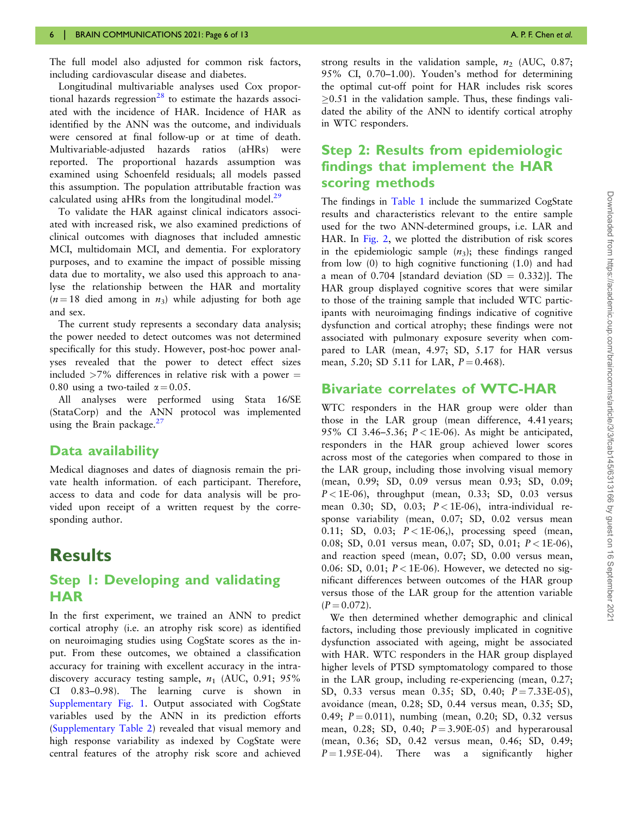<span id="page-5-0"></span>The full model also adjusted for common risk factors, including cardiovascular disease and diabetes.

Longitudinal multivariable analyses used Cox propor-tional hazards regression<sup>[28](#page-11-0)</sup> to estimate the hazards associated with the incidence of HAR. Incidence of HAR as identified by the ANN was the outcome, and individuals were censored at final follow-up or at time of death. Multivariable-adjusted hazards ratios (aHRs) were reported. The proportional hazards assumption was examined using Schoenfeld residuals; all models passed this assumption. The population attributable fraction was calculated using aHRs from the longitudinal model.<sup>[29](#page-11-0)</sup>

To validate the HAR against clinical indicators associated with increased risk, we also examined predictions of clinical outcomes with diagnoses that included amnestic MCI, multidomain MCI, and dementia. For exploratory purposes, and to examine the impact of possible missing data due to mortality, we also used this approach to analyse the relationship between the HAR and mortality  $(n = 18$  died among in  $n_3$ ) while adjusting for both age and sex.

The current study represents a secondary data analysis; the power needed to detect outcomes was not determined specifically for this study. However, post-hoc power analyses revealed that the power to detect effect sizes included  $>7\%$  differences in relative risk with a power  $=$ 0.80 using a two-tailed  $\alpha = 0.05$ .

All analyses were performed using Stata 16/SE (StataCorp) and the ANN protocol was implemented using the Brain package.<sup>[27](#page-11-0)</sup>

#### Data availability

Medical diagnoses and dates of diagnosis remain the private health information. of each participant. Therefore, access to data and code for data analysis will be provided upon receipt of a written request by the corresponding author.

# **Results**

#### Step 1: Developing and validating **HAR**

In the first experiment, we trained an ANN to predict cortical atrophy (i.e. an atrophy risk score) as identified on neuroimaging studies using CogState scores as the input. From these outcomes, we obtained a classification accuracy for training with excellent accuracy in the intradiscovery accuracy testing sample,  $n_1$  (AUC, 0.91; 95% CI 0.83–0.98). The learning curve is shown in [Supplementary Fig. 1.](https://academic.oup.com/braincomms/article-lookup/doi/10.1093/braincomms/fcab145#supplementary-data) Output associated with CogState variables used by the ANN in its prediction efforts [\(Supplementary Table 2\)](https://academic.oup.com/braincomms/article-lookup/doi/10.1093/braincomms/fcab145#supplementary-data) revealed that visual memory and high response variability as indexed by CogState were central features of the atrophy risk score and achieved

strong results in the validation sample,  $n_2$  (AUC, 0.87; 95% CI, 0.70–1.00). Youden's method for determining the optimal cut-off point for HAR includes risk scores  $>0.51$  in the validation sample. Thus, these findings validated the ability of the ANN to identify cortical atrophy in WTC responders.

#### Step 2: Results from epidemiologic findings that implement the HAR scoring methods

The findings in [Table 1](#page-6-0) include the summarized CogState results and characteristics relevant to the entire sample used for the two ANN-determined groups, i.e. LAR and HAR. In [Fig. 2](#page-7-0), we plotted the distribution of risk scores in the epidemiologic sample  $(n_3)$ ; these findings ranged from low (0) to high cognitive functioning (1.0) and had a mean of 0.704 [standard deviation  $(SD = 0.332)$ ]. The HAR group displayed cognitive scores that were similar to those of the training sample that included WTC participants with neuroimaging findings indicative of cognitive dysfunction and cortical atrophy; these findings were not associated with pulmonary exposure severity when compared to LAR (mean, 4.97; SD, 5.17 for HAR versus mean, 5.20; SD 5.11 for LAR,  $P = 0.468$ ).

#### Bivariate correlates of WTC-HAR

WTC responders in the HAR group were older than those in the LAR group (mean difference, 4.41 years; 95% CI 3.46-5.36;  $P < 1E-06$ ). As might be anticipated, responders in the HAR group achieved lower scores across most of the categories when compared to those in the LAR group, including those involving visual memory (mean, 0.99; SD, 0.09 versus mean 0.93; SD, 0.09;  $P < 1E-06$ ), throughput (mean, 0.33; SD, 0.03 versus mean 0.30; SD, 0.03;  $P < 1E-06$ ), intra-individual response variability (mean, 0.07; SD, 0.02 versus mean 0.11; SD, 0.03;  $P < 1E-06$ ,), processing speed (mean, 0.08; SD, 0.01 versus mean, 0.07; SD, 0.01;  $P < 1E-06$ ), and reaction speed (mean, 0.07; SD, 0.00 versus mean, 0.06: SD, 0.01;  $P < 1E-06$ ). However, we detected no significant differences between outcomes of the HAR group versus those of the LAR group for the attention variable  $(P = 0.072)$ .

We then determined whether demographic and clinical factors, including those previously implicated in cognitive dysfunction associated with ageing, might be associated with HAR. WTC responders in the HAR group displayed higher levels of PTSD symptomatology compared to those in the LAR group, including re-experiencing (mean, 0.27; SD, 0.33 versus mean 0.35; SD, 0.40;  $P = 7.33E-0.5$ ), avoidance (mean, 0.28; SD, 0.44 versus mean, 0.35; SD, 0.49;  $P = 0.011$ ), numbing (mean, 0.20; SD, 0.32 versus mean, 0.28; SD, 0.40;  $P = 3.90E-0.5$  and hyperarousal (mean, 0.36; SD, 0.42 versus mean, 0.46; SD, 0.49;  $P = 1.95E-04$ . There was a significantly higher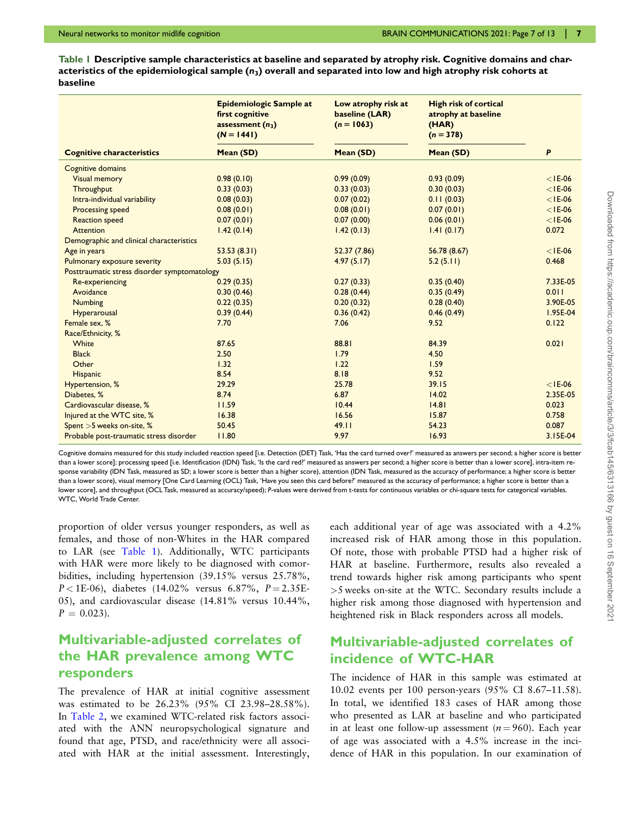<span id="page-6-0"></span>Table 1 Descriptive sample characteristics at baseline and separated by atrophy risk. Cognitive domains and characteristics of the epidemiological sample  $(n_3)$  overall and separated into low and high atrophy risk cohorts at baseline

|                                              | Epidemiologic Sample at<br>first cognitive<br>assessment $(n_3)$<br>$(N = 1441)$ | Low atrophy risk at<br>baseline (LAR)<br>$(n = 1063)$ | <b>High risk of cortical</b><br>atrophy at baseline<br>(HAR)<br>$(n = 378)$ |           |
|----------------------------------------------|----------------------------------------------------------------------------------|-------------------------------------------------------|-----------------------------------------------------------------------------|-----------|
| <b>Cognitive characteristics</b>             | Mean (SD)                                                                        | Mean (SD)                                             | Mean (SD)                                                                   | P         |
| Cognitive domains                            |                                                                                  |                                                       |                                                                             |           |
| <b>Visual memory</b>                         | 0.98(0.10)                                                                       | 0.99(0.09)                                            | 0.93(0.09)                                                                  | $<$ IE-06 |
| Throughput                                   | 0.33(0.03)                                                                       | 0.33(0.03)                                            | 0.30(0.03)                                                                  | $<$ IE-06 |
| Intra-individual variability                 | 0.08(0.03)                                                                       | 0.07(0.02)                                            | 0.11(0.03)                                                                  | $<$ IE-06 |
| Processing speed                             | 0.08(0.01)                                                                       | 0.08(0.01)                                            | 0.07(0.01)                                                                  | $<$ IE-06 |
| <b>Reaction speed</b>                        | 0.07(0.01)                                                                       | 0.07(0.00)                                            | 0.06(0.01)                                                                  | $<$ IE-06 |
| <b>Attention</b>                             | 1.42(0.14)                                                                       | 1.42(0.13)                                            | 1.41(0.17)                                                                  | 0.072     |
| Demographic and clinical characteristics     |                                                                                  |                                                       |                                                                             |           |
| Age in years                                 | 53.53(8.31)                                                                      | 52.37 (7.86)                                          | 56.78 (8.67)                                                                | $<$ IE-06 |
| Pulmonary exposure severity                  | 5.03(5.15)                                                                       | 4.97(5.17)                                            | 5.2(5.11)                                                                   | 0.468     |
| Posttraumatic stress disorder symptomatology |                                                                                  |                                                       |                                                                             |           |
| Re-experiencing                              | 0.29(0.35)                                                                       | 0.27(0.33)                                            | 0.35(0.40)                                                                  | 7.33E-05  |
| Avoidance                                    | 0.30(0.46)                                                                       | 0.28(0.44)                                            | 0.35(0.49)                                                                  | 0.011     |
| Numbing                                      | 0.22(0.35)                                                                       | 0.20(0.32)                                            | 0.28(0.40)                                                                  | 3.90E-05  |
| Hyperarousal                                 | 0.39(0.44)                                                                       | 0.36(0.42)                                            | 0.46(0.49)                                                                  | I.95E-04  |
| Female sex, %                                | 7.70                                                                             | 7.06                                                  | 9.52                                                                        | 0.122     |
| Race/Ethnicity, %                            |                                                                                  |                                                       |                                                                             |           |
| White                                        | 87.65                                                                            | 88.81                                                 | 84.39                                                                       | 0.021     |
| <b>Black</b>                                 | 2.50                                                                             | 1.79                                                  | 4.50                                                                        |           |
| Other                                        | 1.32                                                                             | 1.22                                                  | 1.59                                                                        |           |
| <b>Hispanic</b>                              | 8.54                                                                             | 8.18                                                  | 9.52                                                                        |           |
| Hypertension, %                              | 29.29                                                                            | 25.78                                                 | 39.15                                                                       | $<$ IE-06 |
| Diabetes, %                                  | 8.74                                                                             | 6.87                                                  | 14.02                                                                       | 2.35E-05  |
| Cardiovascular disease, %                    | 11.59                                                                            | 10.44                                                 | 14.81                                                                       | 0.023     |
| Injured at the WTC site, %                   | 16.38                                                                            | 16.56                                                 | 15.87                                                                       | 0.758     |
| Spent >5 weeks on-site, %                    | 50.45                                                                            | 49.11                                                 | 54.23                                                                       | 0.087     |
| Probable post-traumatic stress disorder      | 11.80                                                                            | 9.97                                                  | 16.93                                                                       | 3.15E-04  |

Cognitive domains measured for this study included reaction speed [i.e. Detection (DET) Task, 'Has the card turned over?' measured as answers per second; a higher score is better than a lower score]; processing speed [i.e. Identification (IDN) Task, 'Is the card red?' measured as answers per second; a higher score is better than a lower score], intra-item response variability (IDN Task, measured as SD; a lower score is better than a higher score), attention (IDN Task, measured as the accuracy of performance; a higher score is better than a lower score), visual memory [One Card Learning (OCL) Task, 'Have you seen this card before?' measured as the accuracy of performance; a higher score is better than a lower score], and throughput (OCL Task, measured as accuracy/speed); P-values were derived from t-tests for continuous variables or chi-square tests for categorical variables. WTC, World Trade Center.

proportion of older versus younger responders, as well as females, and those of non-Whites in the HAR compared to LAR (see Table 1). Additionally, WTC participants with HAR were more likely to be diagnosed with comorbidities, including hypertension (39.15% versus 25.78%,  $P < 1E-06$ ), diabetes (14.02% versus 6.87%,  $P = 2.35E-$ 05), and cardiovascular disease (14.81% versus 10.44%,  $P = 0.023$ .

#### Multivariable-adjusted correlates of the HAR prevalence among WTC responders

The prevalence of HAR at initial cognitive assessment was estimated to be 26.23% (95% CI 23.98–28.58%). In [Table 2,](#page-8-0) we examined WTC-related risk factors associated with the ANN neuropsychological signature and found that age, PTSD, and race/ethnicity were all associated with HAR at the initial assessment. Interestingly,

each additional year of age was associated with a 4.2% increased risk of HAR among those in this population. Of note, those with probable PTSD had a higher risk of HAR at baseline. Furthermore, results also revealed a trend towards higher risk among participants who spent >5 weeks on-site at the WTC. Secondary results include a higher risk among those diagnosed with hypertension and heightened risk in Black responders across all models.

#### Multivariable-adjusted correlates of incidence of WTC-HAR

The incidence of HAR in this sample was estimated at 10.02 events per 100 person-years (95% CI 8.67–11.58). In total, we identified 183 cases of HAR among those who presented as LAR at baseline and who participated in at least one follow-up assessment ( $n = 960$ ). Each year of age was associated with a 4.5% increase in the incidence of HAR in this population. In our examination of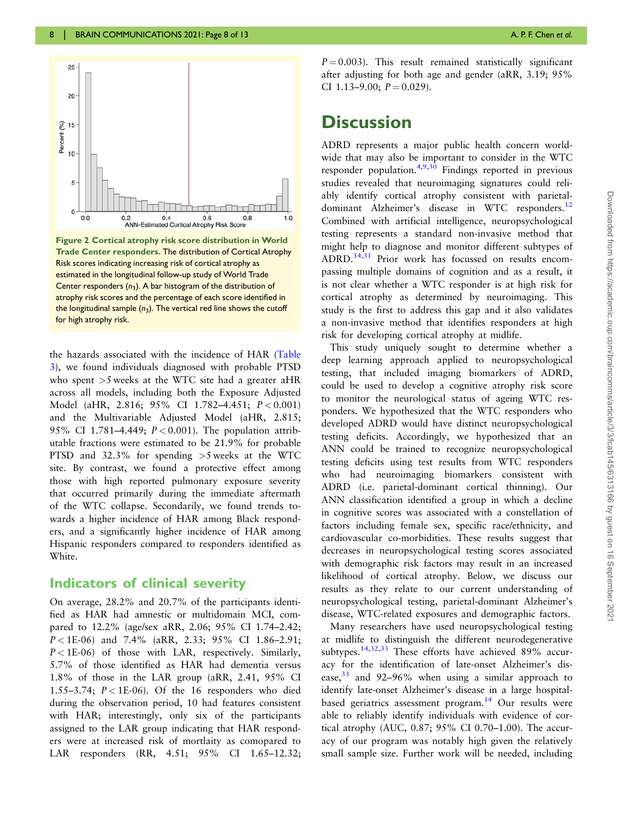<span id="page-7-0"></span>

Figure 2 Cortical atrophy risk score distribution in World Trade Center responders. The distribution of Cortical Atrophy Risk scores indicating increasing risk of cortical atrophy as estimated in the longitudinal follow-up study of World Trade Center responders  $(n_3)$ . A bar histogram of the distribution of atrophy risk scores and the percentage of each score identified in the longitudinal sample  $(n_3)$ . The vertical red line shows the cutoff for high atrophy risk.

the hazards associated with the incidence of HAR [\(Table](#page-8-0) [3](#page-8-0)), we found individuals diagnosed with probable PTSD who spent  $>5$  weeks at the WTC site had a greater aHR across all models, including both the Exposure Adjusted Model (aHR, 2.816; 95% CI 1.782-4.451;  $P < 0.001$ ) and the Multivariable Adjusted Model (aHR, 2.815; 95% CI 1.781-4.449;  $P < 0.001$ ). The population attributable fractions were estimated to be 21.9% for probable PTSD and 32.3% for spending >5 weeks at the WTC site. By contrast, we found a protective effect among those with high reported pulmonary exposure severity that occurred primarily during the immediate aftermath of the WTC collapse. Secondarily, we found trends towards a higher incidence of HAR among Black responders, and a significantly higher incidence of HAR among Hispanic responders compared to responders identified as White.

#### Indicators of clinical severity

On average, 28.2% and 20.7% of the participants identified as HAR had amnestic or multidomain MCI, compared to 12.2% (age/sex aRR, 2.06; 95% CI 1.74–2.42; P < 1E-06) and 7.4% (aRR, 2.33; 95% CI 1.86–2.91;  $P < 1E-06$ ) of those with LAR, respectively. Similarly, 5.7% of those identified as HAR had dementia versus 1.8% of those in the LAR group (aRR, 2.41, 95% CI 1.55–3.74;  $P < 1E-06$ ). Of the 16 responders who died during the observation period, 10 had features consistent with HAR; interestingly, only six of the participants assigned to the LAR group indicating that HAR responders were at increased risk of mortlaity as comopared to LAR responders (RR, 4.51; 95% CI 1.65–12.32;

 $P = 0.003$ ). This result remained statistically significant after adjusting for both age and gender (aRR, 3.19; 95% CI 1.13–9.00;  $P = 0.029$ ).

# **Discussion**

ADRD represents a major public health concern worldwide that may also be important to consider in the WTC responder population.<sup>[4](#page-10-0)[,9,30](#page-11-0)</sup> Findings reported in previous studies revealed that neuroimaging signatures could reliably identify cortical atrophy consistent with parietal-dominant Alzheimer's disease in WTC responders.<sup>[12](#page-11-0)</sup> Combined with artificial intelligence, neuropsychological testing represents a standard non-invasive method that might help to diagnose and monitor different subtypes of ADRD.[14,31](#page-11-0) Prior work has focussed on results encompassing multiple domains of cognition and as a result, it is not clear whether a WTC responder is at high risk for cortical atrophy as determined by neuroimaging. This study is the first to address this gap and it also validates a non-invasive method that identifies responders at high risk for developing cortical atrophy at midlife.

This study uniquely sought to determine whether a deep learning approach applied to neuropsychological testing, that included imaging biomarkers of ADRD, could be used to develop a cognitive atrophy risk score to monitor the neurological status of ageing WTC responders. We hypothesized that the WTC responders who developed ADRD would have distinct neuropsychological testing deficits. Accordingly, we hypothesized that an ANN could be trained to recognize neuropsychological testing deficits using test results from WTC responders who had neuroimaging biomarkers consistent with ADRD (i.e. parietal-dominant cortical thinning). Our ANN classification identified a group in which a decline in cognitive scores was associated with a constellation of factors including female sex, specific race/ethnicity, and cardiovascular co-morbidities. These results suggest that decreases in neuropsychological testing scores associated with demographic risk factors may result in an increased likelihood of cortical atrophy. Below, we discuss our results as they relate to our current understanding of neuropsychological testing, parietal-dominant Alzheimer's disease, WTC-related exposures and demographic factors.

Many researchers have used neuropsychological testing at midlife to distinguish the different neurodegenerative subtypes.<sup>[14,32,33](#page-11-0)</sup> These efforts have achieved 89% accuracy for the identification of late-onset Alzheimer's disease, $33$  and 92–96% when using a similar approach to identify late-onset Alzheimer's disease in a large hospitalbased geriatrics assessment program. $14$  Our results were able to reliably identify individuals with evidence of cortical atrophy (AUC, 0.87; 95% CI 0.70–1.00). The accuracy of our program was notably high given the relatively small sample size. Further work will be needed, including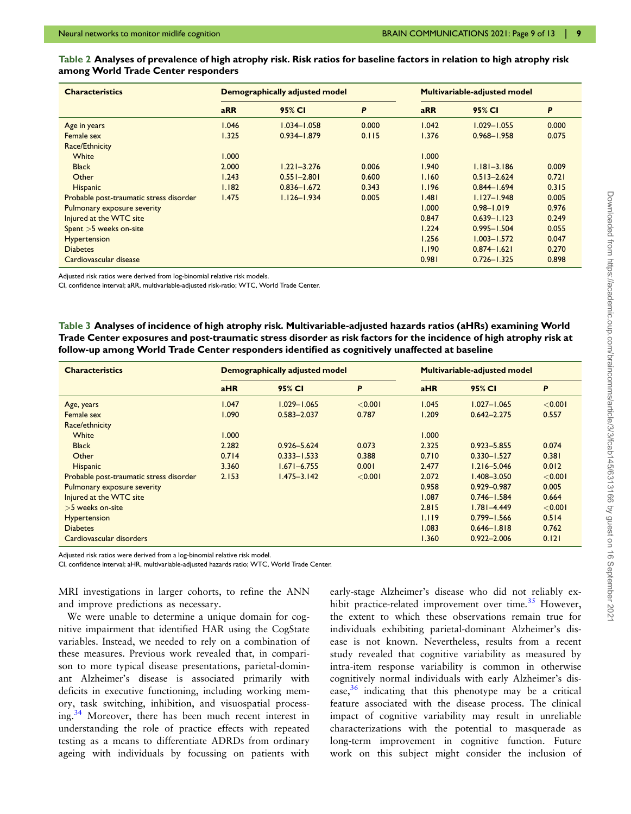#### <span id="page-8-0"></span>Table 2 Analyses of prevalence of high atrophy risk. Risk ratios for baseline factors in relation to high atrophy risk among World Trade Center responders

| <b>Characteristics</b>                  | <b>Demographically adjusted model</b> |                 |       | Multivariable-adjusted model |                 |       |
|-----------------------------------------|---------------------------------------|-----------------|-------|------------------------------|-----------------|-------|
|                                         | <b>aRR</b>                            | 95% CI          | P     | <b>aRR</b>                   | 95% CI          | P     |
| Age in years                            | 1.046                                 | $1.034 - 1.058$ | 0.000 | 1.042                        | $1.029 - 1.055$ | 0.000 |
| Female sex                              | 1.325                                 | $0.934 - 1.879$ | 0.115 | 1.376                        | $0.968 - 1.958$ | 0.075 |
| Race/Ethnicity                          |                                       |                 |       |                              |                 |       |
| White                                   | 1.000                                 |                 |       | 1.000                        |                 |       |
| <b>Black</b>                            | 2.000                                 | $1.221 - 3.276$ | 0.006 | 1.940                        | $1.181 - 3.186$ | 0.009 |
| Other                                   | 1.243                                 | $0.551 - 2.801$ | 0.600 | 1.160                        | $0.513 - 2.624$ | 0.721 |
| Hispanic                                | 1.182                                 | $0.836 - 1.672$ | 0.343 | 1.196                        | $0.844 - 1.694$ | 0.315 |
| Probable post-traumatic stress disorder | <b>1.475</b>                          | $1.126 - 1.934$ | 0.005 | 1.481                        | $1.127 - 1.948$ | 0.005 |
| Pulmonary exposure severity             |                                       |                 |       | 1.000                        | $0.98 - 1.019$  | 0.976 |
| Injured at the WTC site                 |                                       |                 |       | 0.847                        | $0.639 - 1.123$ | 0.249 |
| Spent $>5$ weeks on-site                |                                       |                 |       | 1.224                        | $0.995 - 1.504$ | 0.055 |
| <b>Hypertension</b>                     |                                       |                 |       | 1.256                        | $1.003 - 1.572$ | 0.047 |
| <b>Diabetes</b>                         |                                       |                 |       | 1.190                        | $0.874 - 1.621$ | 0.270 |
| Cardiovascular disease                  |                                       |                 |       | 0.981                        | $0.726 - 1.325$ | 0.898 |

Adjusted risk ratios were derived from log-binomial relative risk models.

CI, confidence interval; aRR, multivariable-adjusted risk-ratio; WTC, World Trade Center.

Table 3 Analyses of incidence of high atrophy risk. Multivariable-adjusted hazards ratios (aHRs) examining World Trade Center exposures and post-traumatic stress disorder as risk factors for the incidence of high atrophy risk at follow-up among World Trade Center responders identified as cognitively unaffected at baseline

| <b>Characteristics</b>                  | Demographically adjusted model |                 |         | Multivariable-adjusted model |                 |         |
|-----------------------------------------|--------------------------------|-----------------|---------|------------------------------|-----------------|---------|
|                                         | aHR                            | 95% CI          | P       | aHR                          | 95% CI          | P       |
| Age, years                              | 1.047                          | $1.029 - 1.065$ | < 0.001 | 1.045                        | $1.027 - 1.065$ | < 0.001 |
| Female sex                              | 1.090                          | $0.583 - 2.037$ | 0.787   | 1.209                        | $0.642 - 2.275$ | 0.557   |
| Race/ethnicity                          |                                |                 |         |                              |                 |         |
| White                                   | 1.000                          |                 |         | 1.000                        |                 |         |
| <b>Black</b>                            | 2.282                          | $0.926 - 5.624$ | 0.073   | 2.325                        | $0.923 - 5.855$ | 0.074   |
| Other                                   | 0.714                          | $0.333 - 1.533$ | 0.388   | 0.710                        | $0.330 - 1.527$ | 0.381   |
| Hispanic                                | 3.360                          | $1.671 - 6.755$ | 0.001   | 2.477                        | $1.216 - 5.046$ | 0.012   |
| Probable post-traumatic stress disorder | 2.153                          | $1.475 - 3.142$ | < 0.001 | 2.072                        | $1.408 - 3.050$ | < 0.001 |
| Pulmonary exposure severity             |                                |                 |         | 0.958                        | 0.929-0.987     | 0.005   |
| Injured at the WTC site                 |                                |                 |         | 1.087                        | $0.746 - 1.584$ | 0.664   |
| $>5$ weeks on-site                      |                                |                 |         | 2.815                        | $1.781 - 4.449$ | < 0.001 |
| Hypertension                            |                                |                 |         | 1.119                        | $0.799 - 1.566$ | 0.514   |
| <b>Diabetes</b>                         |                                |                 |         | 1.083                        | $0.646 - 1.818$ | 0.762   |
| Cardiovascular disorders                |                                |                 |         | 1.360                        | $0.922 - 2.006$ | 0.121   |

Adjusted risk ratios were derived from a log-binomial relative risk model.

CI, confidence interval; aHR, multivariable-adjusted hazards ratio; WTC, World Trade Center.

MRI investigations in larger cohorts, to refine the ANN and improve predictions as necessary.

We were unable to determine a unique domain for cognitive impairment that identified HAR using the CogState variables. Instead, we needed to rely on a combination of these measures. Previous work revealed that, in comparison to more typical disease presentations, parietal-dominant Alzheimer's disease is associated primarily with deficits in executive functioning, including working memory, task switching, inhibition, and visuospatial process-ing.<sup>[34](#page-11-0)</sup> Moreover, there has been much recent interest in understanding the role of practice effects with repeated testing as a means to differentiate ADRDS from ordinary ageing with individuals by focussing on patients with

early-stage Alzheimer's disease who did not reliably ex-hibit practice-related improvement over time.<sup>[35](#page-11-0)</sup> However, the extent to which these observations remain true for individuals exhibiting parietal-dominant Alzheimer's disease is not known. Nevertheless, results from a recent study revealed that cognitive variability as measured by intra-item response variability is common in otherwise cognitively normal individuals with early Alzheimer's disease, $36$  indicating that this phenotype may be a critical feature associated with the disease process. The clinical impact of cognitive variability may result in unreliable characterizations with the potential to masquerade as long-term improvement in cognitive function. Future work on this subject might consider the inclusion of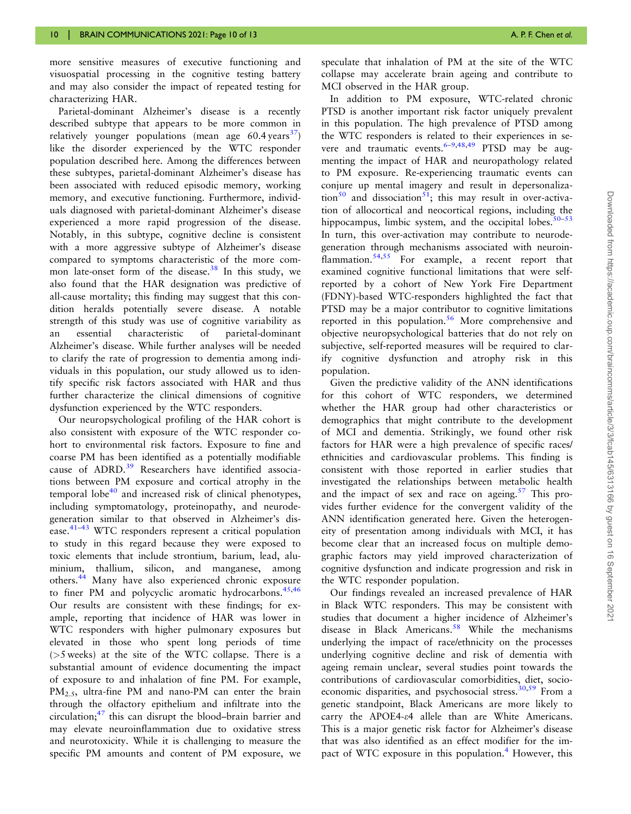<span id="page-9-0"></span>more sensitive measures of executive functioning and visuospatial processing in the cognitive testing battery and may also consider the impact of repeated testing for characterizing HAR.

Parietal-dominant Alzheimer's disease is a recently described subtype that appears to be more common in relatively vounger populations (mean age  $60.4 \text{ years}^{37}$  $60.4 \text{ years}^{37}$  $60.4 \text{ years}^{37}$ ) like the disorder experienced by the WTC responder population described here. Among the differences between these subtypes, parietal-dominant Alzheimer's disease has been associated with reduced episodic memory, working memory, and executive functioning. Furthermore, individuals diagnosed with parietal-dominant Alzheimer's disease experienced a more rapid progression of the disease. Notably, in this subtype, cognitive decline is consistent with a more aggressive subtype of Alzheimer's disease compared to symptoms characteristic of the more com-mon late-onset form of the disease.<sup>[38](#page-11-0)</sup> In this study, we also found that the HAR designation was predictive of all-cause mortality; this finding may suggest that this condition heralds potentially severe disease. A notable strength of this study was use of cognitive variability as an essential characteristic of parietal-dominant Alzheimer's disease. While further analyses will be needed to clarify the rate of progression to dementia among individuals in this population, our study allowed us to identify specific risk factors associated with HAR and thus further characterize the clinical dimensions of cognitive dysfunction experienced by the WTC responders.

Our neuropsychological profiling of the HAR cohort is also consistent with exposure of the WTC responder cohort to environmental risk factors. Exposure to fine and coarse PM has been identified as a potentially modifiable cause of ADRD.<sup>[39](#page-11-0)</sup> Researchers have identified associations between PM exposure and cortical atrophy in the temporal  $\text{lobe}^{40}$  $\text{lobe}^{40}$  $\text{lobe}^{40}$  and increased risk of clinical phenotypes, including symptomatology, proteinopathy, and neurodegeneration similar to that observed in Alzheimer's dis-ease.<sup>[41](#page-11-0)–[43](#page-11-0)</sup> WTC responders represent a critical population to study in this regard because they were exposed to toxic elements that include strontium, barium, lead, aluminium, thallium, silicon, and manganese, among others.[44](#page-11-0) Many have also experienced chronic exposure to finer PM and polycyclic aromatic hydrocarbons.<sup>45,46</sup> Our results are consistent with these findings; for example, reporting that incidence of HAR was lower in WTC responders with higher pulmonary exposures but elevated in those who spent long periods of time (>5 weeks) at the site of the WTC collapse. There is a substantial amount of evidence documenting the impact of exposure to and inhalation of fine PM. For example, PM<sub>2.5</sub>, ultra-fine PM and nano-PM can enter the brain through the olfactory epithelium and infiltrate into the circulation; $47$  this can disrupt the blood–brain barrier and may elevate neuroinflammation due to oxidative stress and neurotoxicity. While it is challenging to measure the specific PM amounts and content of PM exposure, we

In addition to PM exposure, WTC-related chronic PTSD is another important risk factor uniquely prevalent in this population. The high prevalence of PTSD among the WTC responders is related to their experiences in severe and traumatic events.  $6-9,48,49$  $6-9,48,49$  $6-9,48,49$  PTSD may be augmenting the impact of HAR and neuropathology related to PM exposure. Re-experiencing traumatic events can conjure up mental imagery and result in depersonaliza-tion<sup>[50](#page-12-0)</sup> and dissociation<sup>51</sup>; this may result in over-activation of allocortical and neocortical regions, including the hippocampus, limbic system, and the occipital lobes. $50-53$ In turn, this over-activation may contribute to neurodegeneration through mechanisms associated with neuroin-flammation.<sup>[54,55](#page-12-0)</sup> For example, a recent report that examined cognitive functional limitations that were selfreported by a cohort of New York Fire Department (FDNY)-based WTC-responders highlighted the fact that PTSD may be a major contributor to cognitive limitations reported in this population.<sup>[56](#page-12-0)</sup> More comprehensive and objective neuropsychological batteries that do not rely on subjective, self-reported measures will be required to clarify cognitive dysfunction and atrophy risk in this population.

Given the predictive validity of the ANN identifications for this cohort of WTC responders, we determined whether the HAR group had other characteristics or demographics that might contribute to the development of MCI and dementia. Strikingly, we found other risk factors for HAR were a high prevalence of specific races/ ethnicities and cardiovascular problems. This finding is consistent with those reported in earlier studies that investigated the relationships between metabolic health and the impact of sex and race on ageing.<sup>[57](#page-12-0)</sup> This provides further evidence for the convergent validity of the ANN identification generated here. Given the heterogeneity of presentation among individuals with MCI, it has become clear that an increased focus on multiple demographic factors may yield improved characterization of cognitive dysfunction and indicate progression and risk in the WTC responder population.

Our findings revealed an increased prevalence of HAR in Black WTC responders. This may be consistent with studies that document a higher incidence of Alzheimer's disease in Black Americans.<sup>58</sup> While the mechanisms underlying the impact of race/ethnicity on the processes underlying cognitive decline and risk of dementia with ageing remain unclear, several studies point towards the contributions of cardiovascular comorbidities, diet, socio-economic disparities, and psychosocial stress.<sup>[30,](#page-11-0)[59](#page-12-0)</sup> From a genetic standpoint, Black Americans are more likely to carry the APOE4-e4 allele than are White Americans. This is a major genetic risk factor for Alzheimer's disease that was also identified as an effect modifier for the im-pact of WTC exposure in this population.<sup>[4](#page-10-0)</sup> However, this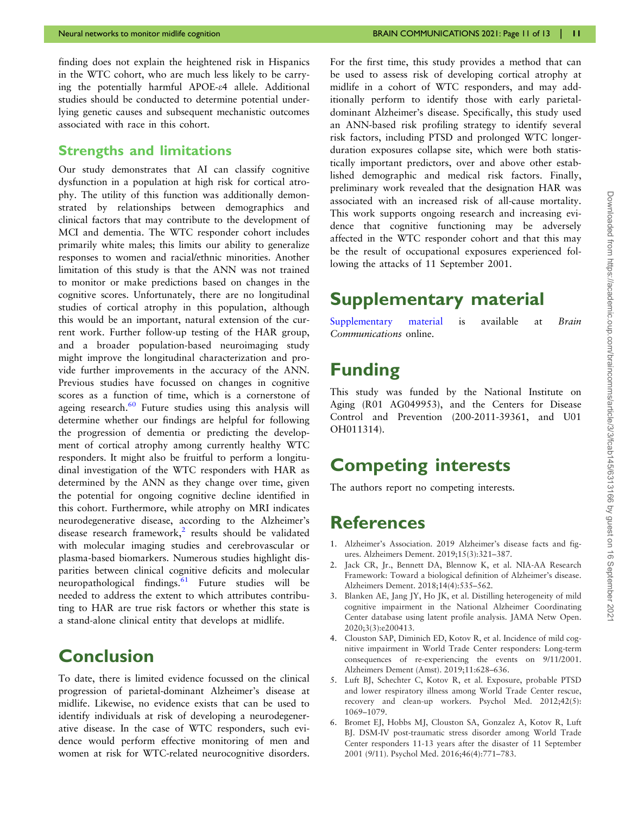<span id="page-10-0"></span>finding does not explain the heightened risk in Hispanics in the WTC cohort, who are much less likely to be carrying the potentially harmful APOE-e4 allele. Additional studies should be conducted to determine potential underlying genetic causes and subsequent mechanistic outcomes associated with race in this cohort.

#### Strengths and limitations

Our study demonstrates that AI can classify cognitive dysfunction in a population at high risk for cortical atrophy. The utility of this function was additionally demonstrated by relationships between demographics and clinical factors that may contribute to the development of MCI and dementia. The WTC responder cohort includes primarily white males; this limits our ability to generalize responses to women and racial/ethnic minorities. Another limitation of this study is that the ANN was not trained to monitor or make predictions based on changes in the cognitive scores. Unfortunately, there are no longitudinal studies of cortical atrophy in this population, although this would be an important, natural extension of the current work. Further follow-up testing of the HAR group, and a broader population-based neuroimaging study might improve the longitudinal characterization and provide further improvements in the accuracy of the ANN. Previous studies have focussed on changes in cognitive scores as a function of time, which is a cornerstone of ageing research. $60$  Future studies using this analysis will determine whether our findings are helpful for following the progression of dementia or predicting the development of cortical atrophy among currently healthy WTC responders. It might also be fruitful to perform a longitudinal investigation of the WTC responders with HAR as determined by the ANN as they change over time, given the potential for ongoing cognitive decline identified in this cohort. Furthermore, while atrophy on MRI indicates neurodegenerative disease, according to the Alzheimer's disease research framework,<sup>2</sup> results should be validated with molecular imaging studies and cerebrovascular or plasma-based biomarkers. Numerous studies highlight disparities between clinical cognitive deficits and molecular neuropathological findings. $61$  Future studies will be needed to address the extent to which attributes contributing to HAR are true risk factors or whether this state is a stand-alone clinical entity that develops at midlife.

# **Conclusion**

To date, there is limited evidence focussed on the clinical progression of parietal-dominant Alzheimer's disease at midlife. Likewise, no evidence exists that can be used to identify individuals at risk of developing a neurodegenerative disease. In the case of WTC responders, such evidence would perform effective monitoring of men and women at risk for WTC-related neurocognitive disorders.

For the first time, this study provides a method that can be used to assess risk of developing cortical atrophy at midlife in a cohort of WTC responders, and may additionally perform to identify those with early parietaldominant Alzheimer's disease. Specifically, this study used an ANN-based risk profiling strategy to identify several risk factors, including PTSD and prolonged WTC longerduration exposures collapse site, which were both statistically important predictors, over and above other established demographic and medical risk factors. Finally, preliminary work revealed that the designation HAR was associated with an increased risk of all-cause mortality. This work supports ongoing research and increasing evidence that cognitive functioning may be adversely affected in the WTC responder cohort and that this may be the result of occupational exposures experienced following the attacks of 11 September 2001.

# Supplementary material

[Supplementary material](https://academic.oup.com/braincomms/article-lookup/doi/10.1093/braincomms/fcab145#supplementary-data) is available at Brain Communications online.

# Funding

This study was funded by the National Institute on Aging (R01 AG049953), and the Centers for Disease Control and Prevention (200-2011-39361, and U01 OH011314).

# Competing interests

The authors report no competing interests.

### References

- [1.](#page-1-0) Alzheimer's Association. 2019 Alzheimer's disease facts and figures. Alzheimers Dement. 2019;15(3):321–387.
- [2.](#page-1-0) Jack CR, Jr., Bennett DA, Blennow K, et al. NIA-AA Research Framework: Toward a biological definition of Alzheimer's disease. Alzheimers Dement. 2018;14(4):535–562.
- [3.](#page-1-0) Blanken AE, Jang JY, Ho JK, et al. Distilling heterogeneity of mild cognitive impairment in the National Alzheimer Coordinating Center database using latent profile analysis. JAMA Netw Open. 2020;3(3):e200413.
- [4.](#page-2-0) Clouston SAP, Diminich ED, Kotov R, et al. Incidence of mild cognitive impairment in World Trade Center responders: Long-term consequences of re-experiencing the events on 9/11/2001. Alzheimers Dement (Amst). 2019;11:628–636.
- [5.](#page-2-0) Luft BJ, Schechter C, Kotov R, et al. Exposure, probable PTSD and lower respiratory illness among World Trade Center rescue, recovery and clean-up workers. Psychol Med. 2012;42(5): 1069–1079.
- [6.](#page-2-0) Bromet EJ, Hobbs MJ, Clouston SA, Gonzalez A, Kotov R, Luft BJ. DSM-IV post-traumatic stress disorder among World Trade Center responders 11-13 years after the disaster of 11 September 2001 (9/11). Psychol Med. 2016;46(4):771–783.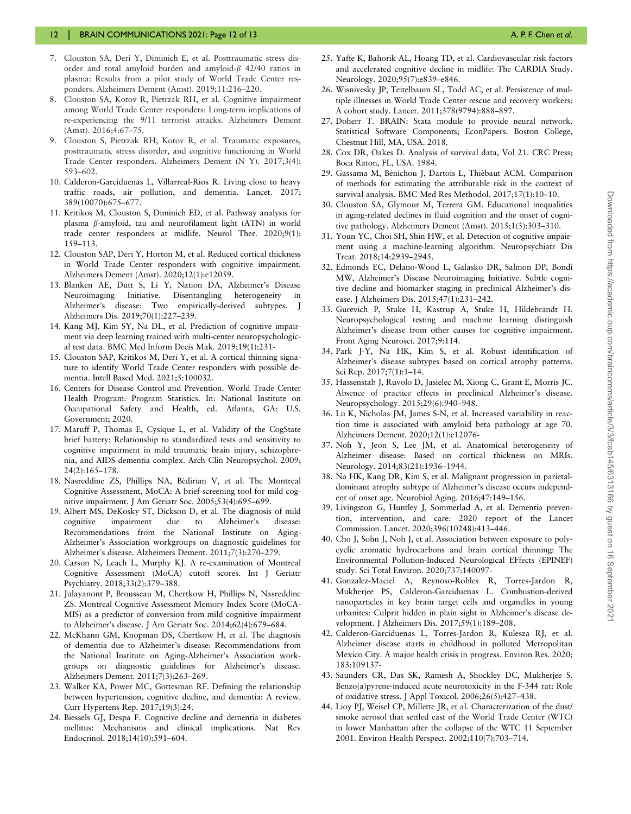#### <span id="page-11-0"></span>12 | BRAIN COMMUNICATIONS 2021: Page 12 of 13 A. P. F. Chen et al. P. F. Chen et al.

- 7. Clouston SA, Deri Y, Diminich E, et al. Posttraumatic stress disorder and total amyloid burden and amyloid- $\beta$  42/40 ratios in plasma: Results from a pilot study of World Trade Center responders. Alzheimers Dement (Amst). 2019;11:216–220.
- 8. Clouston SA, Kotov R, Pietrzak RH, et al. Cognitive impairment among World Trade Center responders: Long-term implications of re-experiencing the 9/11 terrorist attacks. Alzheimers Dement (Amst). 2016;4:67–75.
- [9.](#page-2-0) Clouston S, Pietrzak RH, Kotov R, et al. Traumatic exposures, posttraumatic stress disorder, and cognitive functioning in World Trade Center responders. Alzheimers Dement (N Y). 2017;3(4): 593–602.
- [10](#page-2-0). Calderon-Garciduenas L, Villarreal-Rios R. Living close to heavy traffic roads, air pollution, and dementia. Lancet. 2017; 389(10070):675–677.
- [11](#page-2-0). Kritikos M, Clouston S, Diminich ED, et al. Pathway analysis for plasma  $\beta$ -amyloid, tau and neurofilament light (ATN) in world trade center responders at midlife. Neurol Ther. 2020;9(1): 159–113.
- [12](#page-2-0). Clouston SAP, Deri Y, Horton M, et al. Reduced cortical thickness in World Trade Center responders with cognitive impairment. Alzheimers Dement (Amst). 2020;12(1):e12059.
- [13](#page-2-0). Blanken AE, Dutt S, Li Y, Nation DA, Alzheimer's Disease Neuroimaging Initiative. Disentangling heterogeneity in Alzheimer's disease: Two empirically-derived subtypes. J Alzheimers Dis. 2019;70(1):227–239.
- [14](#page-2-0). Kang MJ, Kim SY, Na DL, et al. Prediction of cognitive impairment via deep learning trained with multi-center neuropsychological test data. BMC Med Inform Decis Mak. 2019;19(1):231-
- [15](#page-2-0). Clouston SAP, Kritikos M, Deri Y, et al. A cortical thinning signature to identify World Trade Center responders with possible dementia. Intell Based Med. 2021;5:100032.
- [16](#page-2-0). Centers for Disease Control and Prevention. World Trade Center Health Program: Program Statistics. In: National Institute on Occupational Safety and Health, ed. Atlanta, GA: U.S. Government; 2020.
- [17](#page-3-0). Maruff P, Thomas E, Cysique L, et al. Validity of the CogState brief battery: Relationship to standardized tests and sensitivity to cognitive impairment in mild traumatic brain injury, schizophrenia, and AIDS dementia complex. Arch Clin Neuropsychol. 2009; 24(2):165–178.
- [18](#page-4-0). Nasreddine ZS, Phillips NA, Bédirian V, et al. The Montreal Cognitive Assessment, MoCA: A brief screening tool for mild cognitive impairment. J Am Geriatr Soc. 2005;53(4):695–699.
- [19](#page-4-0). Albert MS, DeKosky ST, Dickson D, et al. The diagnosis of mild cognitive impairment due to Alzheimer's disease: Recommendations from the National Institute on Aging-Alzheimer's Association workgroups on diagnostic guidelines for Alzheimer's disease. Alzheimers Dement. 2011;7(3):270–279.
- [20](#page-4-0). Carson N, Leach L, Murphy KJ. A re-examination of Montreal Cognitive Assessment (MoCA) cutoff scores. Int J Geriatr Psychiatry. 2018;33(2):379–388.
- [21](#page-4-0). Julayanont P, Brousseau M, Chertkow H, Phillips N, Nasreddine ZS. Montreal Cognitive Assessment Memory Index Score (MoCA-MIS) as a predictor of conversion from mild cognitive impairment to Alzheimer's disease. J Am Geriatr Soc. 2014;62(4):679–684.
- [22](#page-4-0). McKhann GM, Knopman DS, Chertkow H, et al. The diagnosis of dementia due to Alzheimer's disease: Recommendations from the National Institute on Aging-Alzheimer's Association workgroups on diagnostic guidelines for Alzheimer's disease. Alzheimers Dement. 2011;7(3):263–269.
- [23](#page-4-0). Walker KA, Power MC, Gottesman RF. Defining the relationship between hypertension, cognitive decline, and dementia: A review. Curr Hypertens Rep. 2017;19(3):24.
- [24](#page-4-0). Biessels GJ, Despa F. Cognitive decline and dementia in diabetes mellitus: Mechanisms and clinical implications. Nat Rev Endocrinol. 2018;14(10):591–604.
- [25.](#page-4-0) Yaffe K, Bahorik AL, Hoang TD, et al. Cardiovascular risk factors and accelerated cognitive decline in midlife: The CARDIA Study. Neurology. 2020;95(7):e839–e846.
- [26.](#page-4-0) Wisnivesky JP, Teitelbaum SL, Todd AC, et al. Persistence of multiple illnesses in World Trade Center rescue and recovery workers: A cohort study. Lancet. 2011;378(9794):888–897.
- [27.](#page-4-0) Doherr T. BRAIN: Stata module to provide neural network. Statistical Software Components; EconPapers. Boston College, Chestnut Hill, MA, USA. 2018.
- [28.](#page-5-0) Cox DR, Oakes D. Analysis of survival data, Vol 21. CRC Press; Boca Raton, FL, USA. 1984.
- [29.](#page-5-0) Gassama M, Bénichou J, Dartois L, Thiébaut ACM. Comparison of methods for estimating the attributable risk in the context of survival analysis. BMC Med Res Methodol. 2017;17(1):10–10.
- [30.](#page-7-0) Clouston SA, Glymour M, Terrera GM. Educational inequalities in aging-related declines in fluid cognition and the onset of cognitive pathology. Alzheimers Dement (Amst). 2015;1(3):303–310.
- [31.](#page-7-0) Youn YC, Choi SH, Shin HW, et al. Detection of cognitive impairment using a machine-learning algorithm. Neuropsychiatr Dis Treat. 2018;14:2939–2945.
- [32.](#page-7-0) Edmonds EC, Delano-Wood L, Galasko DR, Salmon DP, Bondi MW, Alzheimer's Disease Neuroimaging Initiative. Subtle cognitive decline and biomarker staging in preclinical Alzheimer's disease. J Alzheimers Dis. 2015;47(1):231–242.
- [33.](#page-7-0) Gurevich P, Stuke H, Kastrup A, Stuke H, Hildebrandt H. Neuropsychological testing and machine learning distinguish Alzheimer's disease from other causes for cognitive impairment. Front Aging Neurosci. 2017;9:114.
- [34.](#page-8-0) Park J-Y, Na HK, Kim S, et al. Robust identification of Alzheimer's disease subtypes based on cortical atrophy patterns. Sci Rep. 2017;7(1):1–14.
- [35.](#page-8-0) Hassenstab J, Ruvolo D, Jasielec M, Xiong C, Grant E, Morris JC. Absence of practice effects in preclinical Alzheimer's disease. Neuropsychology. 2015;29(6):940–948.
- [36.](#page-8-0) Lu K, Nicholas JM, James S-N, et al. Increased variability in reaction time is associated with amyloid beta pathology at age 70. Alzheimers Dement. 2020;12(1):e12076-
- [37.](#page-9-0) Noh Y, Jeon S, Lee JM, et al. Anatomical heterogeneity of Alzheimer disease: Based on cortical thickness on MRIs. Neurology. 2014;83(21):1936–1944.
- [38.](#page-9-0) Na HK, Kang DR, Kim S, et al. Malignant progression in parietaldominant atrophy subtype of Alzheimer's disease occurs independent of onset age. Neurobiol Aging. 2016;47:149–156.
- [39.](#page-9-0) Livingston G, Huntley J, Sommerlad A, et al. Dementia prevention, intervention, and care: 2020 report of the Lancet Commission. Lancet. 2020;396(10248):413–446.
- [40.](#page-9-0) Cho J, Sohn J, Noh J, et al. Association between exposure to polycyclic aromatic hydrocarbons and brain cortical thinning: The Environmental Pollution-Induced Neurological EFfects (EPINEF) study. Sci Total Environ. 2020;737:140097-
- 41. Gonzalez-Maciel A, Reynoso-Robles R, Torres-Jardon R, Mukherjee PS, Calderon-Garciduenas L. Combustion-derived nanoparticles in key brain target cells and organelles in young urbanites: Culprit hidden in plain sight in Alzheimer's disease development. J Alzheimers Dis. 2017;59(1):189–208.
- 42. Calderon-Garciduenas L, Torres-Jardon R, Kulesza RJ, et al. Alzheimer disease starts in childhood in polluted Metropolitan Mexico City. A major health crisis in progress. Environ Res. 2020; 183:109137-
- 43. Saunders CR, Das SK, Ramesh A, Shockley DC, Mukherjee S. Benzo(a)pyrene-induced acute neurotoxicity in the F-344 rat: Role of oxidative stress. J Appl Toxicol. 2006;26(5):427–438.
- [44.](#page-9-0) Lioy PJ, Weisel CP, Millette JR, et al. Characterization of the dust/ smoke aerosol that settled east of the World Trade Center (WTC) in lower Manhattan after the collapse of the WTC 11 September 2001. Environ Health Perspect. 2002;110(7):703–714.